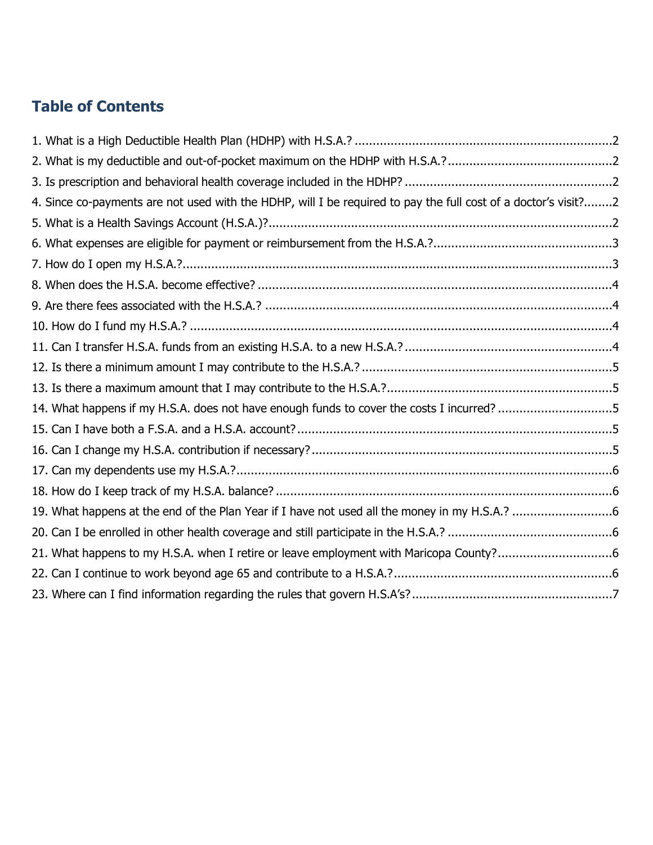# **Table of Contents**

| 4. Since co-payments are not used with the HDHP, will I be required to pay the full cost of a doctor's visit?2 |  |
|----------------------------------------------------------------------------------------------------------------|--|
|                                                                                                                |  |
|                                                                                                                |  |
|                                                                                                                |  |
|                                                                                                                |  |
|                                                                                                                |  |
|                                                                                                                |  |
|                                                                                                                |  |
|                                                                                                                |  |
|                                                                                                                |  |
| 14. What happens if my H.S.A. does not have enough funds to cover the costs I incurred? 5                      |  |
|                                                                                                                |  |
|                                                                                                                |  |
|                                                                                                                |  |
|                                                                                                                |  |
|                                                                                                                |  |
|                                                                                                                |  |
| 21. What happens to my H.S.A. when I retire or leave employment with Maricopa County?6                         |  |
|                                                                                                                |  |
|                                                                                                                |  |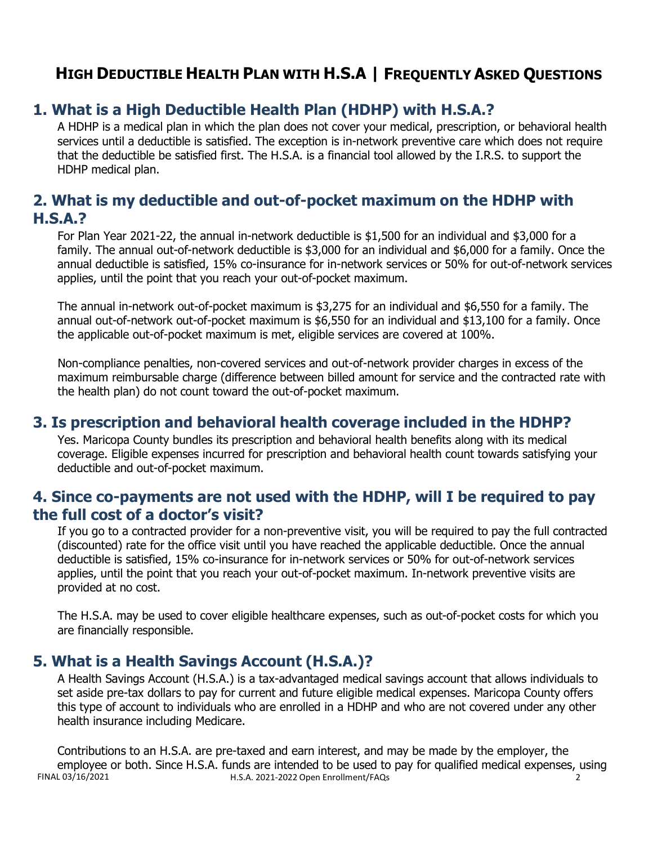## <span id="page-1-0"></span>**1. What is a High Deductible Health Plan (HDHP) with H.S.A.?**

A HDHP is a medical plan in which the plan does not cover your medical, prescription, or behavioral health services until a deductible is satisfied. The exception is in-network preventive care which does not require that the deductible be satisfied first. The H.S.A. is a financial tool allowed by the I.R.S. to support the HDHP medical plan.

## <span id="page-1-1"></span>**2. What is my deductible and out-of-pocket maximum on the HDHP with H.S.A.?**

For Plan Year 2021-22, the annual in-network deductible is \$1,500 for an individual and \$3,000 for a family. The annual out-of-network deductible is \$3,000 for an individual and \$6,000 for a family. Once the annual deductible is satisfied, 15% co-insurance for in-network services or 50% for out-of-network services applies, until the point that you reach your out-of-pocket maximum.

The annual in-network out-of-pocket maximum is \$3,275 for an individual and \$6,550 for a family. The annual out-of-network out-of-pocket maximum is \$6,550 for an individual and \$13,100 for a family. Once the applicable out-of-pocket maximum is met, eligible services are covered at 100%.

Non-compliance penalties, non-covered services and out-of-network provider charges in excess of the maximum reimbursable charge (difference between billed amount for service and the contracted rate with the health plan) do not count toward the out-of-pocket maximum.

#### <span id="page-1-2"></span>**3. Is prescription and behavioral health coverage included in the HDHP?**

Yes. Maricopa County bundles its prescription and behavioral health benefits along with its medical coverage. Eligible expenses incurred for prescription and behavioral health count towards satisfying your deductible and out-of-pocket maximum.

#### <span id="page-1-3"></span>**4. Since co-payments are not used with the HDHP, will I be required to pay the full cost of a doctor's visit?**

If you go to a contracted provider for a non-preventive visit, you will be required to pay the full contracted (discounted) rate for the office visit until you have reached the applicable deductible. Once the annual deductible is satisfied, 15% co-insurance for in-network services or 50% for out-of-network services applies, until the point that you reach your out-of-pocket maximum. In-network preventive visits are provided at no cost.

The H.S.A. may be used to cover eligible healthcare expenses, such as out-of-pocket costs for which you are financially responsible.

## <span id="page-1-4"></span>**5. What is a Health Savings Account (H.S.A.)?**

A Health Savings Account (H.S.A.) is a tax-advantaged medical savings account that allows individuals to set aside pre-tax dollars to pay for current and future eligible medical expenses. Maricopa County offers this type of account to individuals who are enrolled in a HDHP and who are not covered under any other health insurance including Medicare.

FINAL 03/16/2021 H.S.A. 2021-2022 Open Enrollment/FAQs 2 Contributions to an H.S.A. are pre-taxed and earn interest, and may be made by the employer, the employee or both. Since H.S.A. funds are intended to be used to pay for qualified medical expenses, using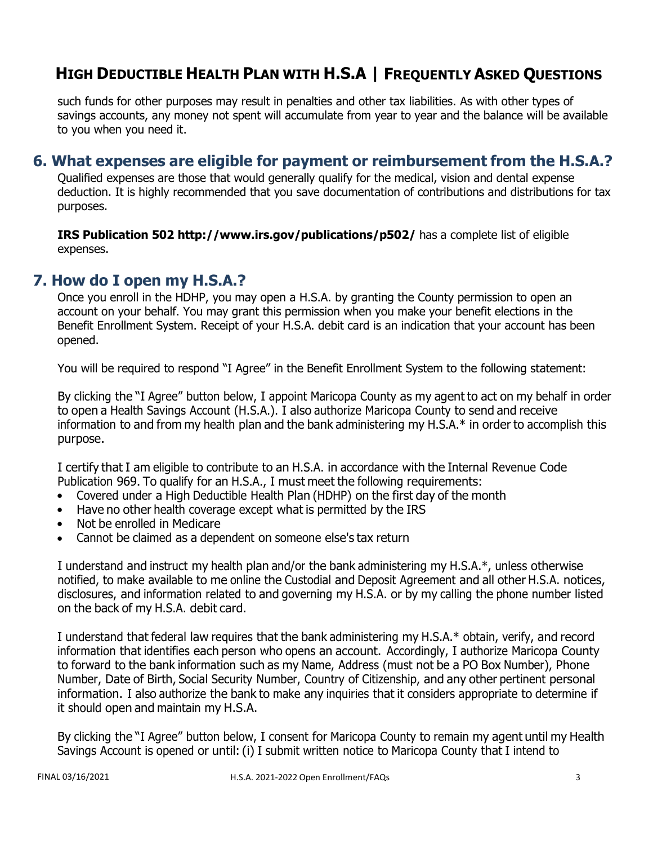such funds for other purposes may result in penalties and other tax liabilities. As with other types of savings accounts, any money not spent will accumulate from year to year and the balance will be available to you when you need it.

#### <span id="page-2-0"></span>**6. What expenses are eligible for payment or reimbursement from the H.S.A.?**

Qualified expenses are those that would generally qualify for the medical, vision and dental expense deduction. It is highly recommended that you save documentation of contributions and distributions for tax purposes.

**IRS Publication 502 <http://www.irs.gov/publications/p502/>**has a complete list of eligible expenses.

#### <span id="page-2-1"></span>**7. How do I open my H.S.A.?**

Once you enroll in the HDHP, you may open a H.S.A. by granting the County permission to open an account on your behalf. You may grant this permission when you make your benefit elections in the Benefit Enrollment System. Receipt of your H.S.A. debit card is an indication that your account has been opened.

You will be required to respond "I Agree" in the Benefit Enrollment System to the following statement:

By clicking the "I Agree" button below, I appoint Maricopa County as my agent to act on my behalf in order to open a Health Savings Account (H.S.A.). I also authorize Maricopa County to send and receive information to and from my health plan and the bank administering my H.S.A.\* in order to accomplish this purpose.

I certify that I am eligible to contribute to an H.S.A. in accordance with the Internal Revenue Code Publication 969. To qualify for an H.S.A., I must meet the following requirements:

- Covered under a High Deductible Health Plan (HDHP) on the first day of the month
- Have no other health coverage except what is permitted by the IRS
- Not be enrolled in Medicare
- Cannot be claimed as a dependent on someone else's tax return

I understand and instruct my health plan and/or the bank administering my H.S.A.\*, unless otherwise notified, to make available to me online the Custodial and Deposit Agreement and all other H.S.A. notices, disclosures, and information related to and governing my H.S.A. or by my calling the phone number listed on the back of my H.S.A. debit card.

I understand that federal law requires that the bank administering my H.S.A.\* obtain, verify, and record information that identifies each person who opens an account. Accordingly, I authorize Maricopa County to forward to the bank information such as my Name, Address (must not be a PO Box Number), Phone Number, Date of Birth, Social Security Number, Country of Citizenship, and any other pertinent personal information. I also authorize the bank to make any inquiries that it considers appropriate to determine if it should open and maintain my H.S.A.

By clicking the "I Agree" button below, I consent for Maricopa County to remain my agent until my Health Savings Account is opened or until: (i) I submit written notice to Maricopa County that I intend to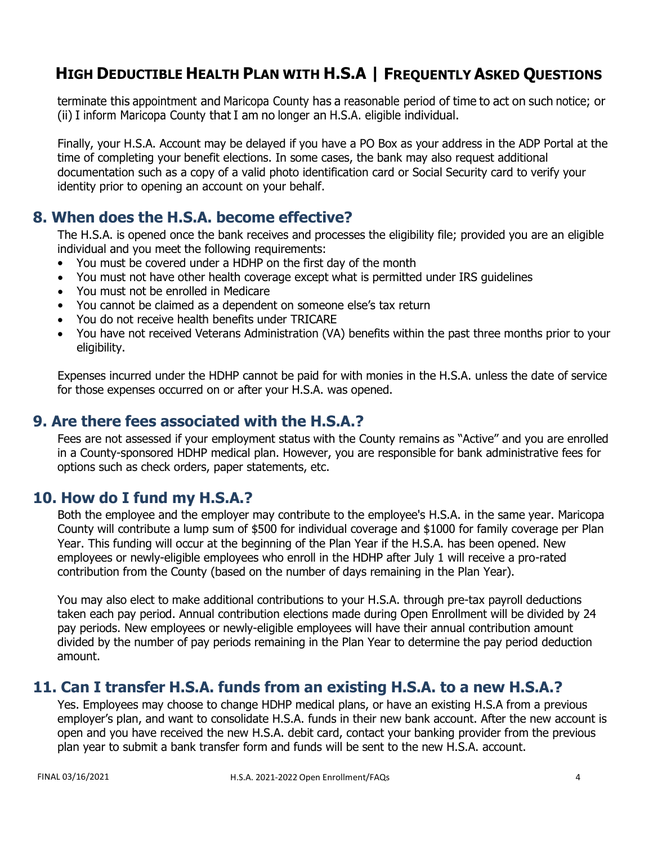terminate this appointment and Maricopa County has a reasonable period of time to act on such notice; or (ii) I inform Maricopa County that I am no longer an H.S.A. eligible individual.

Finally, your H.S.A. Account may be delayed if you have a PO Box as your address in the ADP Portal at the time of completing your benefit elections. In some cases, the bank may also request additional documentation such as a copy of a valid photo identification card or Social Security card to verify your identity prior to opening an account on your behalf.

## <span id="page-3-0"></span>**8. When does the H.S.A. become effective?**

The H.S.A. is opened once the bank receives and processes the eligibility file; provided you are an eligible individual and you meet the following requirements:

- You must be covered under a HDHP on the first day of the month
- You must not have other health coverage except what is permitted under IRS guidelines
- You must not be enrolled in Medicare
- You cannot be claimed as a dependent on someone else's tax return
- You do not receive health benefits under TRICARE
- You have not received Veterans Administration (VA) benefits within the past three months prior to your eligibility.

Expenses incurred under the HDHP cannot be paid for with monies in the H.S.A. unless the date of service for those expenses occurred on or after your H.S.A. was opened.

#### <span id="page-3-1"></span>**9. Are there fees associated with the H.S.A.?**

Fees are not assessed if your employment status with the County remains as "Active" and you are enrolled in a County-sponsored HDHP medical plan. However, you are responsible for bank administrative fees for options such as check orders, paper statements, etc.

## <span id="page-3-2"></span>**10. How do I fund my H.S.A.?**

Both the employee and the employer may contribute to the employee's H.S.A. in the same year. Maricopa County will contribute a lump sum of \$500 for individual coverage and \$1000 for family coverage per Plan Year. This funding will occur at the beginning of the Plan Year if the H.S.A. has been opened. New employees or newly-eligible employees who enroll in the HDHP after July 1 will receive a pro-rated contribution from the County (based on the number of days remaining in the Plan Year).

You may also elect to make additional contributions to your H.S.A. through pre-tax payroll deductions taken each pay period. Annual contribution elections made during Open Enrollment will be divided by 24 pay periods. New employees or newly-eligible employees will have their annual contribution amount divided by the number of pay periods remaining in the Plan Year to determine the pay period deduction amount.

## <span id="page-3-3"></span>**11. Can I transfer H.S.A. funds from an existing H.S.A. to a new H.S.A.?**

Yes. Employees may choose to change HDHP medical plans, or have an existing H.S.A from a previous employer's plan, and want to consolidate H.S.A. funds in their new bank account. After the new account is open and you have received the new H.S.A. debit card, contact your banking provider from the previous plan year to submit a bank transfer form and funds will be sent to the new H.S.A. account.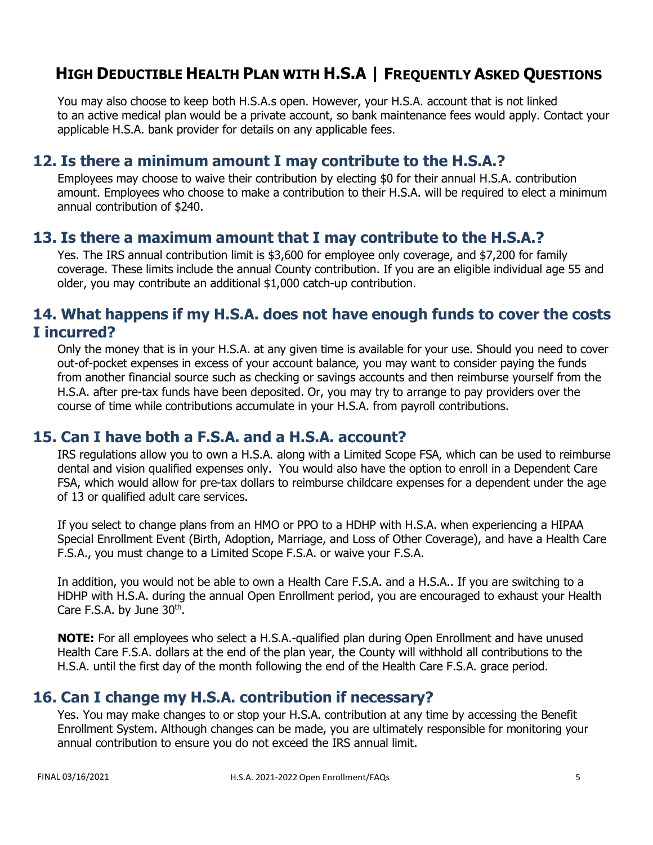You may also choose to keep both H.S.A.s open. However, your H.S.A. account that is not linked to an active medical plan would be a private account, so bank maintenance fees would apply. Contact your applicable H.S.A. bank provider for details on any applicable fees.

#### <span id="page-4-0"></span>**12. Is there a minimum amount I may contribute to the H.S.A.?**

Employees may choose to waive their contribution by electing \$0 for their annual H.S.A. contribution amount. Employees who choose to make a contribution to their H.S.A. will be required to elect a minimum annual contribution of \$240.

#### <span id="page-4-1"></span>**13. Is there a maximum amount that I may contribute to the H.S.A.?**

Yes. The IRS annual contribution limit is \$3,600 for employee only coverage, and \$7,200 for family coverage. These limits include the annual County contribution. If you are an eligible individual age 55 and older, you may contribute an additional \$1,000 catch-up contribution.

### <span id="page-4-2"></span>**14. What happens if my H.S.A. does not have enough funds to cover the costs I incurred?**

Only the money that is in your H.S.A. at any given time is available for your use. Should you need to cover out-of-pocket expenses in excess of your account balance, you may want to consider paying the funds from another financial source such as checking or savings accounts and then reimburse yourself from the H.S.A. after pre-tax funds have been deposited. Or, you may try to arrange to pay providers over the course of time while contributions accumulate in your H.S.A. from payroll contributions.

#### <span id="page-4-3"></span>**15. Can I have both a F.S.A. and a H.S.A. account?**

IRS regulations allow you to own a H.S.A. along with a Limited Scope FSA, which can be used to reimburse dental and vision qualified expenses only. You would also have the option to enroll in a Dependent Care FSA, which would allow for pre-tax dollars to reimburse childcare expenses for a dependent under the age of 13 or qualified adult care services.

If you select to change plans from an HMO or PPO to a HDHP with H.S.A. when experiencing a HIPAA Special Enrollment Event (Birth, Adoption, Marriage, and Loss of Other Coverage), and have a Health Care F.S.A., you must change to a Limited Scope F.S.A. or waive your F.S.A.

In addition, you would not be able to own a Health Care F.S.A. and a H.S.A.. If you are switching to a HDHP with H.S.A. during the annual Open Enrollment period, you are encouraged to exhaust your Health Care F.S.A. by June  $30<sup>th</sup>$ .

**NOTE:** For all employees who select a H.S.A.-qualified plan during Open Enrollment and have unused Health Care F.S.A. dollars at the end of the plan year, the County will withhold all contributions to the H.S.A. until the first day of the month following the end of the Health Care F.S.A. grace period.

## <span id="page-4-4"></span>**16. Can I change my H.S.A. contribution if necessary?**

Yes. You may make changes to or stop your H.S.A. contribution at any time by accessing the Benefit Enrollment System. Although changes can be made, you are ultimately responsible for monitoring your annual contribution to ensure you do not exceed the IRS annual limit.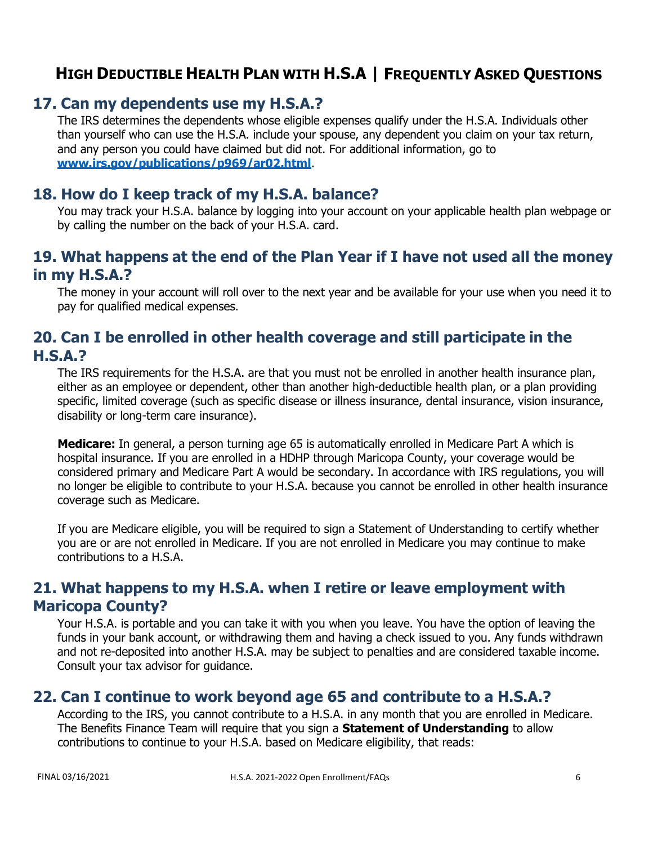## <span id="page-5-0"></span>**17. Can my dependents use my H.S.A.?**

The IRS determines the dependents whose eligible expenses qualify under the H.S.A. Individuals other than yourself who can use the H.S.A. include your spouse, any dependent you claim on your tax return, and any person you could have claimed but did not. For additional information, go to **[www.irs.gov/publications/p969/ar02.html](http://www.irs.gov/publications/p969/ar02.html)**.

## <span id="page-5-1"></span>**18. How do I keep track of my H.S.A. balance?**

You may track your H.S.A. balance by logging into your account on your applicable health plan webpage or by calling the number on the back of your H.S.A. card.

## <span id="page-5-2"></span>**19. What happens at the end of the Plan Year if I have not used all the money in my H.S.A.?**

The money in your account will roll over to the next year and be available for your use when you need it to pay for qualified medical expenses.

## <span id="page-5-3"></span>**20. Can I be enrolled in other health coverage and still participate in the H.S.A.?**

The IRS requirements for the H.S.A. are that you must not be enrolled in another health insurance plan, either as an employee or dependent, other than another high-deductible health plan, or a plan providing specific, limited coverage (such as specific disease or illness insurance, dental insurance, vision insurance, disability or long-term care insurance).

**Medicare:** In general, a person turning age 65 is automatically enrolled in Medicare Part A which is hospital insurance. If you are enrolled in a HDHP through Maricopa County, your coverage would be considered primary and Medicare Part A would be secondary. In accordance with IRS regulations, you will no longer be eligible to contribute to your H.S.A. because you cannot be enrolled in other health insurance coverage such as Medicare.

If you are Medicare eligible, you will be required to sign a Statement of Understanding to certify whether you are or are not enrolled in Medicare. If you are not enrolled in Medicare you may continue to make contributions to a H.S.A.

## <span id="page-5-4"></span>**21. What happens to my H.S.A. when I retire or leave employment with Maricopa County?**

Your H.S.A. is portable and you can take it with you when you leave. You have the option of leaving the funds in your bank account, or withdrawing them and having a check issued to you. Any funds withdrawn and not re-deposited into another H.S.A. may be subject to penalties and are considered taxable income. Consult your tax advisor for guidance.

## <span id="page-5-5"></span>**22. Can I continue to work beyond age 65 and contribute to a H.S.A.?**

According to the IRS, you cannot contribute to a H.S.A. in any month that you are enrolled in Medicare. The Benefits Finance Team will require that you sign a **Statement of Understanding** to allow contributions to continue to your H.S.A. based on Medicare eligibility, that reads: